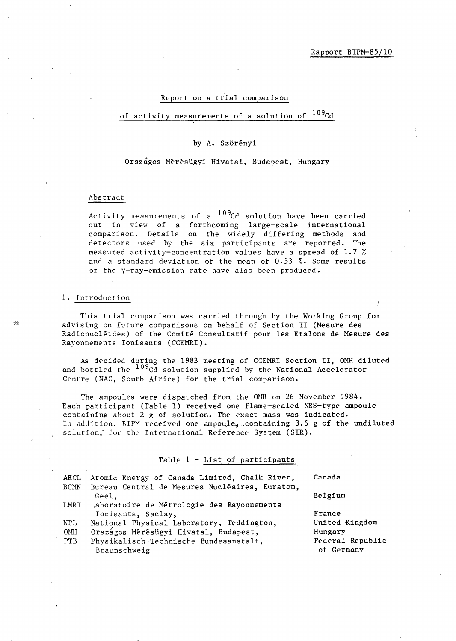## Report on a trial comparison

# of activity measurements of a solution of <sup>109</sup>Cd

# by A. Szörényi

# Országos Mérésügyi Hivatal, Budapest, Hungary

### Abstract

Activity measurements of a  $109$ Cd solution have been carried out in view of a forthcoming large-scale international comparison. Details on the widely differing methods and detectors used by the six participants *are* reported. The measured activity-concentration values have a spread of 1.7 % and a standard deviation of the mean of 0.53 %. Some results of the y-ray-emission rate have also been produced.

#### 1. Introduction

This trial comparison was carried through by the Working Group for advising on future comparisons on behalf of Section 11 (Mesure des Radionucléides) of the Comité Consultatif pour les Etalons de Mesure des Rayonnements Ionisants (CCEMRI).

As decided during the 1983 meeting of CCEMRI Section 11, OMH diluted and bottled the <sup>109</sup>Cd solution supplied by the National Accelerator Centre (NAC, South Africa) for the trial comparison.

The ampoules were dispatched from the OMH on 26 November 1984. Each participant (Table 1) received one flame-sealed NBS-type ampoule containing about 2 g of solution. The exact mass was indicated. In addition, BIPM received one ampoule, containing 3.6 g of the undiluted solution, for the International Reference System (SIR).

## Table 1 - List of participants

| AECL        | Atomic Energy of Canada Limited, Chalk River,                    | Canada                         |
|-------------|------------------------------------------------------------------|--------------------------------|
| <b>BCMN</b> | Bureau Central de Mesures Nucléaires, Euratom,<br>Geel.          | Belgium                        |
| LMRI        | Laboratoire de Métrologie des Rayonnements<br>Ionisants, Saclay, | France                         |
| NPL         | National Physical Laboratory, Teddington,                        | United Kingdom                 |
| OMH         | Országos Mérésügyi Hivatal, Budapest,                            | Hungary                        |
| PTB         | Physikalisch-Technische Bundesanstalt,<br>Braunschweig           | Federal Republic<br>of Germany |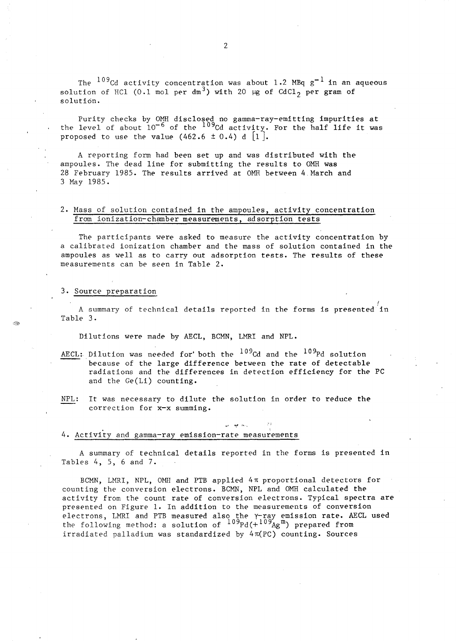The  $^{109}$ Cd activity concentration was about 1.2 MBq  $g^{-1}$  in an aqueous solution of HCl (0.1 mol per  $dm^3$ ) with 20  $\mu$ g of CdCl<sub>2</sub> per gram of solution.

Purity checks by OMH disclosed no gamma-ray-emitting impurities at the level of about  $10^{-6}$  of the  $10^{9}$ Cd activity. For the half life it was proposed to use the value  $(462.6 \pm 0.4)$  d  $[1]$ .

A reporting form had been set up and was distributed with the ampoules. The dead line for submitting the results to OMH was 28 February 1985. The results arrived at OMH between 4. March and 3 May 1985.

## 2. Mass of solution contained in the ampoules, activity concentration from ionization-chamber measurements, ad sorption tests

The participants were asked to measure the activity concentration by a calibrated ionization chamber and the mass of solution contained in the ampoules as well as to carry out adsorption tests. The results of these measurements can be seen in Table 2.

#### 3. Source preparation

*t*  A summary of technical details reported in the forms is presented in Table 3.

Dilutions were made by AECL, BCMN, LMRI and NPL.

- AECL: Dilution was needed for both the  $^{109}$ Cd and the  $^{109}$ Pd solution because of the large difference between the rate of detectable radiations and the differences in detection efficiency for the PC and the *Ge(Li)* counting.
- NPL: It was necessary to dilute the solution in order to reduce the correction for x-x summing.

#### 4. Activity and gamma-ray emission-rate measurements

A summary of technical details reported in the forms is presented in Tables 4, 5, 6 and 7.

:'i

BCMN, LMRI, NPL, OMH and PTB applied 4n proportional detectors for counting the conversion electrons. BCMN, NPL and OMH calculated the activity from the count rate of conversion electrons. Typical spectra are presented on Figure 1. In addition to the measurements of conversion .<br>electrons, LMRI and PTB measured also the Y-ray emission rate. AECL used the following method: a solution of  $^{109}$ Pd( $^{+109}$ Ag<sup>m</sup>) prepared from irradiated palladium was standardized by  $4\pi(PC)$  counting. Sources

2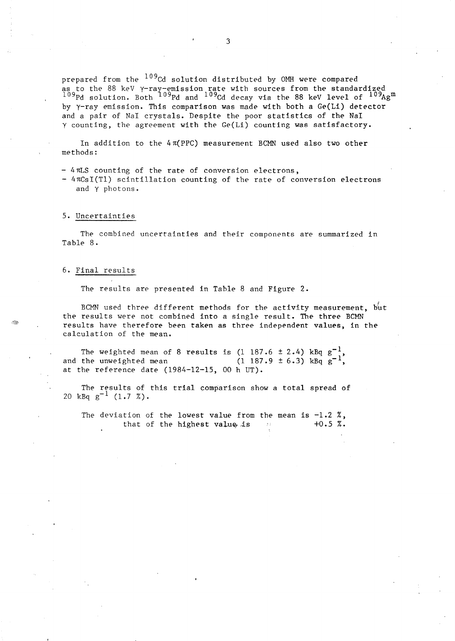prepared from the <sup>109</sup>Cd solution distributed by OMH were compared as to the 88 keV Y-ray-emission rate with source<mark>s from the standardized</mark><br><sup>109</sup>Pd solution. Both <sup>109</sup>Pd and <sup>109</sup>Cd decay via the 88 keV level of <sup>109</sup>A  $^{109}$ Pd solution. Both  $^{109}$ Pd and  $^{109}$ Cd decay via the 88 keV level of  $^{109}$ Ag $^{\rm m}$ by y-ray emission. This comparison was made with both a Ge(Li) detector and a pair of NaI crystals. Despite the poor statistics of the NaI y counting, *the* agreement with *the* Ge(Li) counting was satisfactory.

In addition to the  $4\pi(PPC)$  measurement BCMN used also two other methods:

- 4rcLS counting of *the* rate of conversion electrons,

 $-4\pi CsI(Tl)$  scintillation counting of the rate of conversion electrons and y photons.

#### 5. Uncertainties

The combined uncertainties and their components are summarized in Table 8.

#### 6. Final results

The results are presented in Tahle 8 and Figure 2.

BCMN used three different methods for the activity measurement, but the results were not combined into a single result. The three BCMN results have therefore been taken as three independent values, in the calculation of the mean.

The weighted mean of 8 results is  $(1\ 187.6 \pm 2.4)$  kBq  $g^{-1}$ , and the unweighted mean at the reference date  $(1984-12-15, 00 h UT)$ .  $(1\ 187.9\pm 6.3)$  kBq  $g^{-1}$ 

The results of this trial comparison show a total spread of 20 kBq  $g^{-1}$  (1.7 %).

The deviation of the lowest value from the mean is  $-1.2$  %,<br>that of the highest value is  $+0.5$  %. that of the highest value is  $-10$ .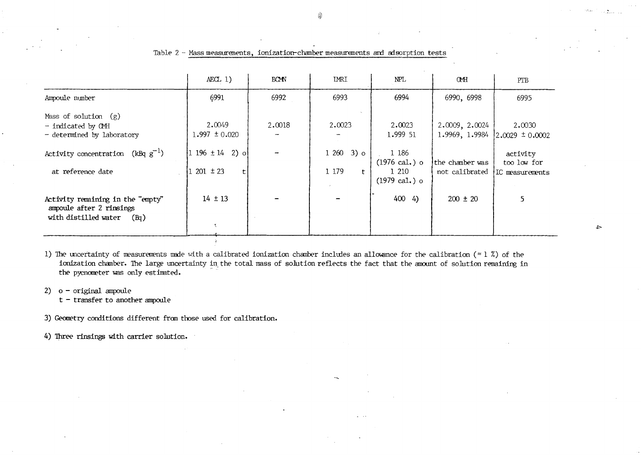|                                                                                               | $AECL$ 1)                           | <b>BCMN</b> | <b>IMRI</b>                          | NPL                                                                  | <b>CMH</b>                        | PTB                                        |
|-----------------------------------------------------------------------------------------------|-------------------------------------|-------------|--------------------------------------|----------------------------------------------------------------------|-----------------------------------|--------------------------------------------|
| Ampoule number                                                                                | 6991                                | 6992        | 6993                                 | 6994                                                                 | 6990, 6998                        | 6995                                       |
| Mass of solution $(g)$<br>- indicated by CMH<br>- determined by laboratory                    | 2.0049<br>$1.997 \pm 0.020$         | 2.0018      | 2.0023                               | 2.0023<br>1.999 51                                                   | 2.0009, 2.0024<br>1.9969, 1.9984  | 2,0030<br>$ 2.0029 \pm 0.0002$             |
| Activity concentration (kBq $g^{-1}$ )<br>at reference date                                   | $1196 \pm 14$ 2) of<br>$201 \pm 23$ |             | $12603$ ) o<br>1 179<br>$\mathbf{t}$ | 1 186<br>$(1976 \text{ cal.})$ o<br>1 210<br>$(1979 \text{ cal.})$ o | the chamber was<br>not calibrated | activity<br>too low for<br>IC measurements |
| Activity remaining in the "empty"<br>ampoule after 2 rinsings<br>with distilled water<br>(Bq) | $14 \pm 13$<br>₹                    |             |                                      | 4004                                                                 | $200 \pm 20$                      | 5                                          |

Table 2 - Mass measurements, ionization-chamber measurements and adsorption tests

1) The uncertainty of measurements made with a calibrated ionization chamber includes an allowance for the calibration ( $\approx 1$  %) of the ionization chamber. The large uncertainty in the total mass of solution reflects the fact that the amount of solution remaining in the pycnometer was only estimated.

2)  $o$  - original ampoule

 $t$  - transfer to another ampoule

3) Geometry conditions different from those used for calibration.

4) Three rinsings with carrier solution.

 $\rightarrow$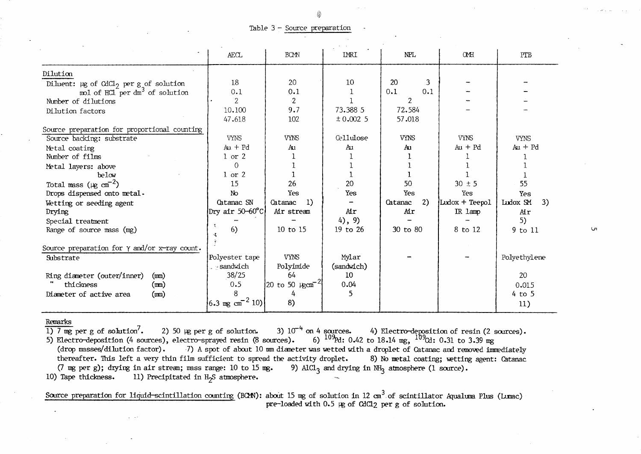#### Table 3 - *Source* preparation

|                                                                                                       | <b>AECL</b>                 | <b>BCMN</b>                      | <b>IMRI</b>      | NPL           | <b>CMH</b>     | PTB            |
|-------------------------------------------------------------------------------------------------------|-----------------------------|----------------------------------|------------------|---------------|----------------|----------------|
| Dilution                                                                                              |                             |                                  |                  |               |                |                |
|                                                                                                       | 18                          | 20                               | 10               | 20<br>3       |                |                |
| Diluent: $\mu$ g of CdCl <sub>2</sub> per g of solution<br>mol of HCl per dm <sup>3</sup> of solution | 0.1                         | 0.1                              |                  | 0.1<br>0.1    |                |                |
| Number of dilutions                                                                                   | 2                           | $\cdot 2$                        |                  | 2.            |                |                |
| Dilution factors                                                                                      | 10.100                      | 9.7                              | 73.388 5         | 72.584        |                |                |
|                                                                                                       | 47.618                      | 102                              | ± 0.0025         | 57.018        |                |                |
| Source preparation for proportional counting                                                          |                             |                                  |                  |               |                |                |
| Source backing: substrate                                                                             | <b>VYNS</b>                 | <b>VYNS</b>                      | <b>Cellulose</b> | <b>VYNS</b>   | <b>VYNS</b>    | <b>VYNS</b>    |
| Metal coating                                                                                         | $Au + Pd$                   | Aυ                               | Au               | Au            | $Au + Pd$      | $Au + Pd$      |
| Number of films                                                                                       | $1$ or $2$                  |                                  |                  |               |                |                |
| Metal layers: above                                                                                   | $\Omega$                    |                                  |                  |               |                |                |
| below                                                                                                 | $1$ or $2$                  |                                  |                  |               |                |                |
| Total mass ( $\mu$ g cm <sup>-2</sup> )                                                               | 15                          | 26                               | 20               | 50            | $30 \pm 5$     | 55             |
| Drops dispensed onto metal.                                                                           | No                          | Yes                              | Yes              | Yes           | Yes            | Yes            |
| Wetting or seeding agent                                                                              | Catanac SN                  | -1)<br>Catanac                   |                  | 2)<br>Catanac | Ludox + Teepol | Ludox SM<br>3) |
| Drying                                                                                                | Dry air 50—60°C]            | Air stream                       | Air              | Air           | IR 1amp        | Air            |
| Special treatment                                                                                     |                             |                                  | $4)$ , 9)        |               |                | 5)             |
| Range of source mass (mg)                                                                             | 6)                          | 10 to 15                         | 19 to 26         | 30 to 80      | 8 to 12        | 9 to 11        |
|                                                                                                       |                             |                                  |                  |               |                |                |
| Source preparation for $\gamma$ and/or x-ray count.                                                   |                             |                                  |                  |               |                |                |
| Substrate                                                                                             | Polyester tape              | <b>VYNS</b>                      | Mylar            |               |                | Polyethylene   |
|                                                                                                       | - sandwich                  | Polyimide                        | (sandwich)       |               |                |                |
| Ring diameter (outer/inner)<br>(m <sub>m</sub> )                                                      | 38/25                       | 64                               | 10               |               |                | 20             |
| thickness<br>(m)                                                                                      | 0.5                         | 20 to 50 $\mu$ gcm <sup>-2</sup> | 0.04             |               |                | 0.015          |
| Diameter of active area<br>(m <sub>m</sub> )                                                          |                             |                                  | 5                |               |                | $4$ to 5       |
|                                                                                                       | $6.3 \text{ mg cm}^{-2} 10$ | 8)                               |                  |               |                | 11)            |

Remarks<br>1)  $\frac{7}{1}$  mg per g of solution<sup>7</sup>.  $\overline{1)$  7 mg per g of solution<sup>7</sup>. 2) 50 µg per g of solution. 3) 10<sup>-4</sup> on 4 sources. 4) Electro-deposition of resin (2 sources). 5) Electro-deposition (4 sources), electro-sprayed resin (8 sources). 6)  $^{109}$ Pd: 0.42 to 18.14 mg,  $^{109}$ Cd: 0.31 to 3.39 mg<br>(drop masses/dilution factor). 7) A spot of about 10 mm diameter was wetted with a droplet o Electro-deposition (4 sources), electro-sprayed resin (8 sources).<br>Electro-deposition (4 sources), electro-sprayed resin (8 sources). 6)  $^{109}$ Rd: 0.42 to 18.14 mg,  $^{109}$ Cd: 0.31 to 3.39 mg<br>(drop masses/dilution factor thereafter. This left a very thin film sufficient to spread the activity droplet. 8) No metal coating; wetting agent: Catanac (7 mg per g); drying in air stream; mass range: 10 to 15 mg. 9) AlCl<sub>3</sub> and drying in NH<sub>3</sub> atm (7 mg per g); drying in air stream; mass range: 10 to 15 mg. 10) Tape thickness. 11) Precipitated in H<sub>2</sub>S atmosphere. 11) Precipitated in  $H_2S$  atmosphere.

Source preparation for liquid-scintillation counting (BCM): about 15 mg of solution in 12 cm<sup>3</sup> of scintillator Aqualuma Plus (Lumac) pre-loaded with 0.5 µg of CdCl<sub>2</sub> per g of solution.

 $\mathbf{u}$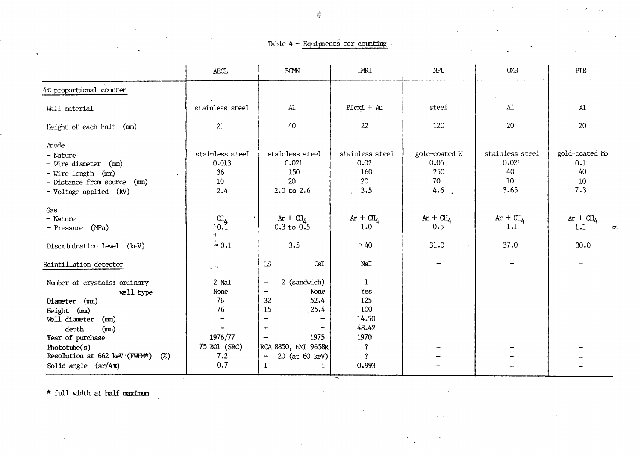# Table  $4$  - Equipments for counting.

|                                        | <b>AECL</b>                                | <b>BCMN</b>                                    | <b>IMRI</b>      | <b>NPL</b>    | <b>CMH</b>      | PTB            |
|----------------------------------------|--------------------------------------------|------------------------------------------------|------------------|---------------|-----------------|----------------|
| 4π proportional counter                |                                            |                                                |                  |               |                 |                |
| Wall material                          | stainless steel                            | $\rm Al$                                       | Plexi + Au       | steel         | $\mathbf{A}$    | $\mathbf{A}$   |
| Height of each half (mm)               | 21                                         | 40                                             | 22               | 120           | 20              | 20             |
| Anode                                  |                                            |                                                |                  |               |                 |                |
| - Nature                               | stainless steel                            | stainless steel                                | stainless steel  | gold-coated W | stainless steel | gold-coated Mo |
| - Wire diameter (mm)                   | 0.013                                      | 0.021                                          | 0.02             | 0.05          | 0.021           | 0.1            |
| - Wire length (mm)                     | 36                                         | 150                                            | 160              | 250           | 40              | 40             |
| - Distance from source (mm)            | 10                                         | 20                                             | 20               | 70            | 10              | 10             |
| - Voltage applied (kV)                 | 2.4                                        | 2.0 to 2.6                                     | 3.5              | 4.6<br>$\sim$ | 3.65            | 7.3            |
| Gas                                    |                                            |                                                |                  |               |                 |                |
| - Nature                               | $^{\rm CH}_{\rm C}$ $^{\rm CH}_{\rm O}, 1$ | $Ar + CH$                                      | $Ar + CH$        | $Ar + CHA$    | $Ar + CH_A$     | $Ar + CH_4$    |
| - Pressure (MPa)                       | 爆。                                         | $0.3$ to $0.5$                                 | 1.0              | 0.5           | 1.1             | 1.1<br>ᡡ       |
| Discrimination level (keV)             | $\approx 0.1$                              | 3.5                                            | $\approx 40$     | 31.0          | 37.0            | 30.0           |
| Scintillation detector                 | $\mathcal{A}=\frac{2\pi}{m}$               | LS<br>CsI                                      | NaI              |               |                 |                |
| Number of crystals: ordinary           | 2 NaI                                      | 2 (sandwich)<br>-                              | 1                |               |                 |                |
| well type                              | None                                       | None<br>$\qquad \qquad \blacksquare$           | Yes              |               |                 |                |
| Diameter (mm)                          | 76                                         | 52.4<br>32                                     | 125              |               |                 |                |
| Height (mm)                            | 76                                         | 15<br>25.4                                     | 100              |               |                 |                |
| Well diameter<br>(mn)                  |                                            | -<br>$\qquad \qquad \blacksquare$              | 14.50            |               |                 |                |
| depth<br>(mn)                          |                                            | $\overline{\phantom{a}}$<br>-                  | 48.42            |               |                 |                |
| Year of purchase                       | 1976/77                                    | 1975<br>$\overline{\phantom{a}}$               | 1970             |               |                 |                |
| Phototube(s)                           | 75 BO1 (SRC)                               | RCA 8850, EMI 9658R                            | $\ddot{?}$       |               |                 |                |
| Resolution at 662 keV (FMH*)<br>$(\%)$ | 7.2                                        | 20 (at 60 keV)<br>$\qquad \qquad \blacksquare$ | $\boldsymbol{?}$ |               |                 |                |
| Solid angle $(sr/4\pi)$                | 0.7                                        | 1<br>1                                         | 0.993            |               |                 |                |

'.~

 $\star$  full width at half maximum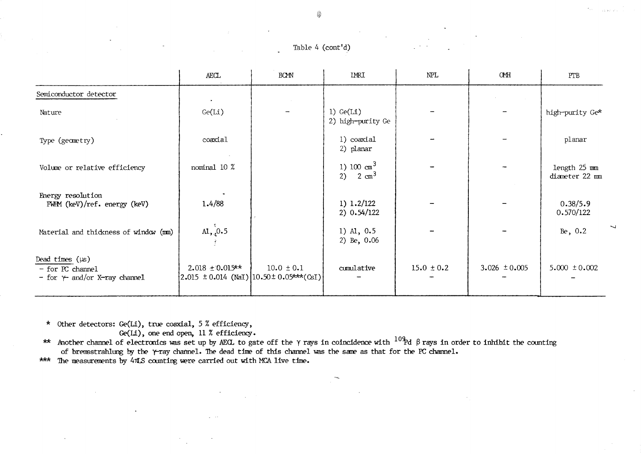Table 4 (cont'd)

|                                                                                 | AECL                 | <b>BOMN</b>                                                                 | IMRI                                        | NPL            | $\mbox{O\!M\!H}$  | PTB                                |
|---------------------------------------------------------------------------------|----------------------|-----------------------------------------------------------------------------|---------------------------------------------|----------------|-------------------|------------------------------------|
| Semiconductor detector                                                          |                      |                                                                             |                                             |                |                   |                                    |
| Nature                                                                          | Ge(Li)               |                                                                             | 1) $Ge(L1)$<br>2) high-purity Ge            |                |                   | high-purity Ge*                    |
| Type (geometry)                                                                 | coaxial              |                                                                             | 1) coaxial<br>2) planar                     |                |                   | planar                             |
| Volume or relative efficiency                                                   | nominal 10 %         |                                                                             | 1) 100 $\text{cm}^3$<br>2) $2 \text{ cm}^3$ |                |                   | $length$ 25 $mm$<br>diameter 22 mm |
| Energy resolution<br>FWHM (keV)/ref. energy (keV)                               | 1.4/88               |                                                                             | 1) $1.2/122$<br>$2)$ 0.54/122               |                |                   | 0.38/5.9<br>0.570/122              |
| Material and thickness of window (mm)                                           | AL, 0.5              |                                                                             | 1) A1, 0.5<br>2) Be, $0.06$                 |                |                   | Be, 0.2                            |
| Dead times $(\mu s)$<br>- for PC channel<br>- for $\gamma$ and/or X-ray channel | $2.018 \pm 0.015$ ** | $10.0 \pm 0.1$<br>$(2.015 \pm 0.014 \text{ (NaI)})(10.50 \pm 0.05$ ***(CsI) | cumulative                                  | $15.0 \pm 0.2$ | 3.026 $\pm 0.005$ | $5.000 \pm 0.002$                  |

\* Other detectors: Ge(Li), true coaxial, 5 % efficiency,

Ge(Li), one end open, 11 % efficiency.

\*\* Another channel of electronics was set up by AECL to gate off the  $\gamma$  rays in coincidence with  $^{109}$ d  $\beta$  rays in order to inhibit the counting of bremsstrahlung by the  $\gamma$ -ray channel. The dead time of this channel was the same as that for the PC channel.

\*\*\* The measurements by 4mLS counting were carried out with MCA live time.

Ġ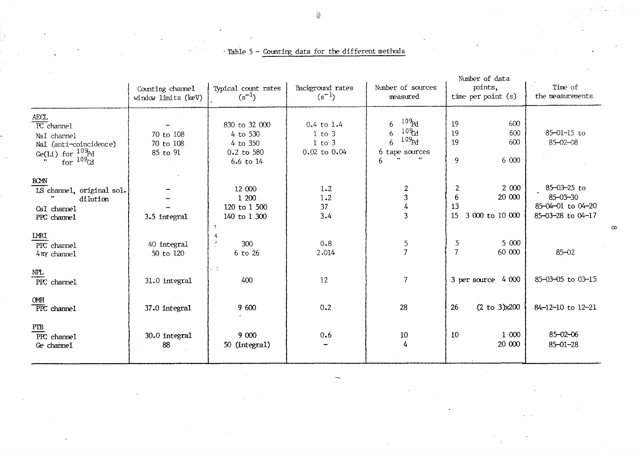|                                                                                                                                     |                                         |                                                                  |                                                            |                                                                                        | Number of data                                           |                                                                         |
|-------------------------------------------------------------------------------------------------------------------------------------|-----------------------------------------|------------------------------------------------------------------|------------------------------------------------------------|----------------------------------------------------------------------------------------|----------------------------------------------------------|-------------------------------------------------------------------------|
|                                                                                                                                     | Counting channel<br>window limits (keV) | Typical count rates<br>$(s^{-1})$                                | Background rates<br>$(s^{-1})$                             | Number of sources<br>measured                                                          | points,<br>time per point $(s)$                          | Time of<br>the measurements                                             |
| AECL<br>$\overline{PC}$ channel<br>NaI channel<br>NaI (anti-coincidence)<br>Ge(Li) for $\frac{109}{109}d$<br>for $\frac{109}{109}d$ | 70 to 108<br>70 to 108<br>85 to 91      | 830 to 32 000<br>4 to 530<br>4 to 350<br>0.2 to 580<br>6.6 to 14 | $0.4$ to $1.4$<br>$1$ to $3$<br>$1$ to $3$<br>0.02 to 0.04 | $10\frac{9}{6}$ d<br>6<br>$10\%$<br>6<br>109 <sub>pd</sub><br>6<br>6 tape sources<br>6 | 19<br>600<br>19<br>600<br>19<br>600<br>9<br>6 000        | 85-01-15 to<br>$85 - 02 - 08$                                           |
| <b>BOMN</b><br>LS channel, original sol.<br>dilution<br>CsI channel<br>PPC channel                                                  | 3.5 integral                            | 12 000<br>1 200<br>120 to 1 500<br>140 to 1.300<br>弋             | 1.2<br>1.2<br>37<br>3.4                                    | $\boldsymbol{2}$<br>3<br>$\overline{4}$<br>3                                           | 2 000<br>2<br>20 000<br>6<br>13<br>15<br>3 000 to 10 000 | 85-03-25 to<br>$85 - 03 - 30$<br>85-04-01 to 04-20<br>85-03-28 to 04-17 |
| <b>LMRI</b><br>PPC channel<br>$4\pi\gamma$ channel                                                                                  | 40 integral<br>50 to 120                | 哎<br>3<br>300<br>6 to 26                                         | 0.8<br>2.014                                               | 5<br>$\overline{7}$                                                                    | 5 000<br>5<br>$\overline{7}$<br>60 000                   | $85 - 02$                                                               |
| $\mbox{NPL}$<br>PPC channel                                                                                                         | 31.0 integral                           | $\sim$ $^{+12}_{-11}$<br>400                                     | 12                                                         | 7                                                                                      | 3 per source 4 000                                       | 85-03-05 to 03-15                                                       |
| OMH<br>PPC channel                                                                                                                  | 37.0 integral                           | 9 600                                                            | 0.2                                                        | 28                                                                                     | 26<br>$(2 \text{ to } 3)x200$                            | 84-12-10 to 12-21                                                       |
| PTB<br>PPC channel<br>Ge channel                                                                                                    | 30.0 integral<br>88                     | 9 000<br>50 (integral)                                           | 0.6                                                        | 10<br>4                                                                                | 10<br>1 000<br>20 000                                    | $85 - 02 - 06$<br>$85 - 01 - 28$                                        |

- Table 5 - Counting data for the different methods

N.

()

 $\infty$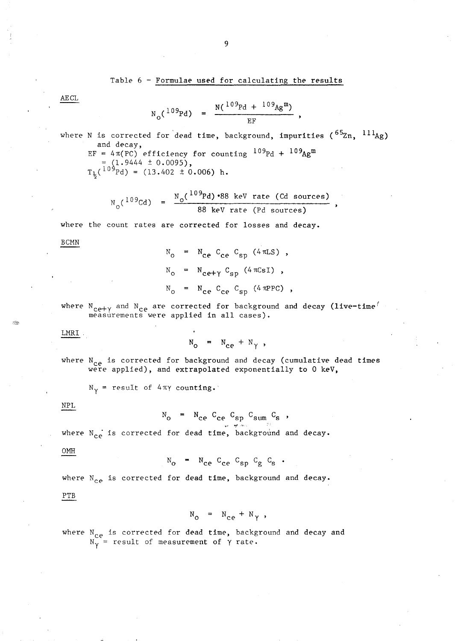# Table 6 - Formulae used for calculating the results

 $N(^{109}Pd + ^{109}Ag^m)$ EF

where N is corrected for dead time, background, impurities ( ${}^{65}$ Zn,  ${}^{111}$ Ag) and decay, EF =  $4\pi (PC)$  efficiency for counting  $109Pd + 109Ag$ m  $=\left(1.9444 \pm 0.0095\right)$ ,  $T_{\frac{1}{2}}({}^{109}Pd) = (13.402 \pm 0.006) \text{ h.}$ 

$$
N_{\text{e}}(^{109}\text{Cd}) = \frac{N_{\text{o}}(^{109}\text{Pd}) \cdot 88 \text{ keV rate (Cd sources)}}{}
$$

$$
88 \text{ keV rate (Pd sources)}
$$

where the count rates are corrected for losses and decay.

BCMN

AECL

 $N_{\text{o}}$  =  $N_{\text{ce}}$  C<sub>ce</sub> C<sub>sp</sub> (4  $\pi$ LS),  $N_{o}$  =  $N_{ce+{\gamma}} C_{sp}$  (4  $\pi CsI$ ),  $N_{\text{o}}$  =  $N_{\text{ce}}$  C<sub>ce</sub> C<sub>sp</sub> (4 mPPC),

where  $N_{ce+\gamma}$  and  $N_{ce}$  are corrected for background and decay (live-time<sup>f</sup> measurements were applied in all cases).

LMRI

Ŕ

$$
N_o = N_{ce} + N_{\gamma},
$$

where  $N_{ce}$  is corrected for background and decay (cumulative dead times were applied), and extrapolated exponentially to 0 keV,

 $N_{\gamma}$  = result of 4 $\pi\gamma$  counting.

NPL

 $N_o$  =  $N_{ce}$   $C_{ce}$   $C_{sp}$   $C_{sum}$   $C_{s}$ ,

where N<sub>ce</sub> is corrected for dead time, background and decay.

OMH

 $N_{\alpha}$  =  $N_{\alpha}$  C<sub>ce</sub> C<sub>sp</sub> C<sub>g</sub> C<sub>s</sub> .

where  $N_{ce}$  is corrected for dead time, background and decay.

PTB

 $N_{\odot}$  =  $N_{\rm ce}$  +  $N_{\gamma}$ ,

where N<sub>ce</sub> is corrected for dead time, background and decay and  $N_Y =$  result of measurement of  $\gamma$  rate.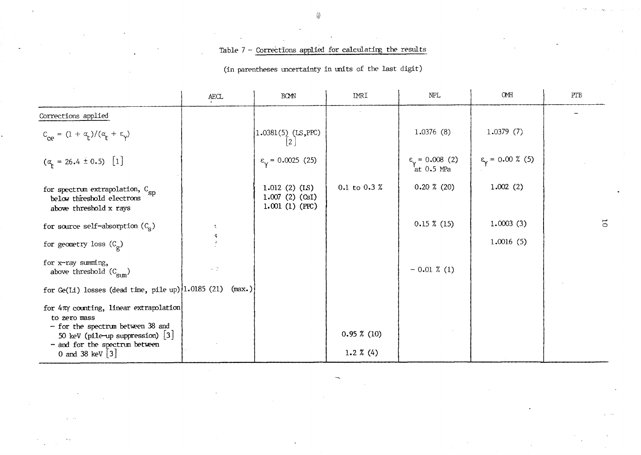# Table 7 - Corrections applied for calculating the results

 $\mathcal{L}_{\mathcal{A}}$ 

(in parentheses tmcertainty in tmits of the last digit)

|                                                                                                                                                          | AECL                            | <b>BOMN</b>                                                | <b>IMRI</b>          | NPL                                           | OMH                              | PTB            |
|----------------------------------------------------------------------------------------------------------------------------------------------------------|---------------------------------|------------------------------------------------------------|----------------------|-----------------------------------------------|----------------------------------|----------------|
| Corrections applied                                                                                                                                      |                                 |                                                            |                      |                                               |                                  |                |
| $C_{ce} = (1 + \alpha_t)/(\alpha_t + \epsilon_y)$                                                                                                        |                                 | 1.0381(5) (LS, PPC)                                        |                      | 1.0376(8)                                     | 1.0379(7)                        |                |
| $(\alpha_t = 26.4 \pm 0.5)$ [1]                                                                                                                          |                                 | $\varepsilon_{\rm v}$ = 0.0025 (25)                        |                      | $\epsilon_{\rm v}$ = 0.008 (2)<br>'at 0.5 MPa | $\epsilon_{\gamma}$ = 0.00 % (5) |                |
| for spectrum extrapolation, $C_{SD}$<br>below threshold electrons<br>above threshold x rays                                                              |                                 | $1.012$ (2) (LS)<br>$1.007$ (2) (CsI)<br>$1.001$ (1) (PPC) | 0.1 to 0.3 %         | $0.20 \times (20)$                            | 1.002(2)                         |                |
| for source self-absorption $(C_{\rm g})$                                                                                                                 |                                 |                                                            |                      | $0.15 \; % (15)$                              | 1.0003(3)                        | $\overline{5}$ |
| for geometry loss $(C_{\rho})$                                                                                                                           |                                 |                                                            |                      |                                               | 1.0016(5)                        |                |
| for x-ray summing,<br>above threshold $(C_{\text{sum}})$                                                                                                 | $\mathcal{A}=\frac{2\pi}{2\pi}$ |                                                            |                      | $-0.01 \times (1)$                            |                                  |                |
| for Ge(Li) losses (dead time, pile up) $ 1.0185$ (21)                                                                                                    | (max.)                          |                                                            |                      |                                               |                                  |                |
| for $4\pi\gamma$ counting, linear extrapolation<br>to zero mass<br>- for the spectrum between 38 and<br>50 keV (pile-up suppression) $\lfloor 3 \rfloor$ |                                 |                                                            | $0.95 \; \% \; (10)$ |                                               |                                  |                |
| - and for the spectrum between<br>0 and 38 keV $\begin{bmatrix} 3 \end{bmatrix}$                                                                         |                                 |                                                            | 1.2 $%$ (4)          |                                               |                                  |                |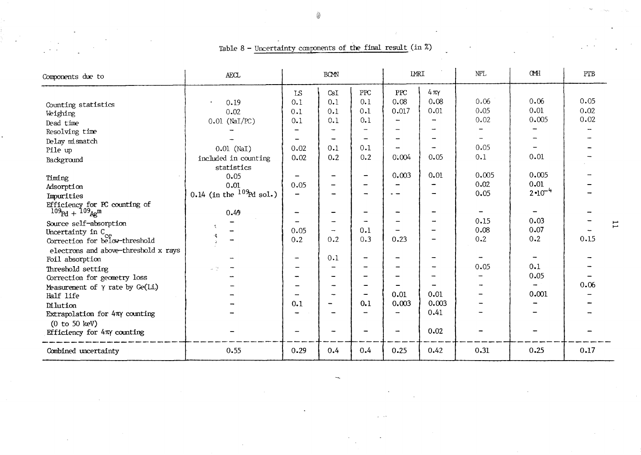| Components due to                                                                                                                                                                                                          | AECL                                                                                 |                                                              | <b>BOMN</b>                                                                                     |                                                      | <b>IMRI</b>                                                   |                                                  | NPL.                                                            | <b>CMH</b>                                       | PTB                  |
|----------------------------------------------------------------------------------------------------------------------------------------------------------------------------------------------------------------------------|--------------------------------------------------------------------------------------|--------------------------------------------------------------|-------------------------------------------------------------------------------------------------|------------------------------------------------------|---------------------------------------------------------------|--------------------------------------------------|-----------------------------------------------------------------|--------------------------------------------------|----------------------|
| Counting statistics<br>Weighing<br>Dead time<br>Resolving time<br>Delay mismatch<br>Pile up<br>Background                                                                                                                  | 0.19<br>$\bullet$<br>0.02<br>$0.01$ (NaI/PC)<br>$0.01$ (NaI)<br>included in counting | LS<br>0.1<br>0.1<br>0.1<br>0.02<br>0.02                      | CsI<br>0.1<br>0.1<br>0.1<br>$\overline{\phantom{0}}$<br>$\overline{\phantom{m}}$<br>0.1<br>0.2  | ${\rm PPC}$<br>0.1<br>0.1<br>0.1<br>0.1<br>0.2       | ${\rm PPC}$<br>0.08<br>0.017<br>÷.<br>$\rightarrow$<br>0.004  | $4 \pi \gamma$<br>0.08<br>0.01<br>$\sim$<br>0.05 | 0.06<br>0.05<br>0.02<br>$\overline{\phantom{a}}$<br>0.05<br>0.1 | 0.06<br>0.01<br>0.005<br>0.01                    | 0.05<br>0.02<br>0.02 |
| Timing<br>Adsorption<br>Impurities<br>Efficiency for PC counting of<br>$109pd + 109Ag$ m                                                                                                                                   | statistics<br>0.05<br>0.01<br>0.14 (in the $^{109}$ Pd sol.)<br>0.49                 | 0.05<br>$\overline{\phantom{a}}$<br>$\overline{\phantom{m}}$ | -<br>-<br>-<br>$\overline{\phantom{a}}$                                                         | $\overline{\phantom{m}}$<br>$\overline{\phantom{m}}$ | 0.003<br>$\overline{\phantom{0}}$<br>$\overline{\phantom{a}}$ | 0.01<br>$\overline{\phantom{a}}$                 | 0.005<br>0.02<br>0.05                                           | 0.005<br>0.01<br>$2 \cdot 10^{-4}$               |                      |
| Source self-absorption<br>Uncertainty in $C_{ce}$<br>Correction for below-threshold<br>electrons and above-threshold x rays                                                                                                | ÷                                                                                    | 0.05<br>0.2<br>$\overline{\phantom{a}}$                      | $\qquad \qquad \blacksquare$<br>-<br>0.2<br>0.1                                                 | 0.1<br>0.3                                           | 0.23                                                          |                                                  | 0.15<br>0.08<br>0.2                                             | 0.03<br>0.07<br>0.2                              | 0.15                 |
| Foil absorption<br>Threshold setting<br>Correction for geometry loss<br>Measurement of $\gamma$ rate by Ge(Li.)<br>Half life<br>Dilution<br>Extrapolation for 4TY counting<br>(0 to 50 keV)<br>Efficiency for 4πγ counting | $\sim 12$                                                                            | $\overline{\phantom{0}}$<br>$\rightarrow$<br>0.1             | $\overline{\phantom{0}}$<br>$\overline{\phantom{a}}$<br>-<br>-<br>-<br>$\overline{\phantom{0}}$ | $\overline{\phantom{a}}$<br>0.1                      | 0.01<br>0.003                                                 | 0.01<br>0.003<br>0.41<br>0.02                    | 0.05                                                            | 0.1<br>0.05<br>$\overline{\phantom{a}}$<br>0.001 | 0.06                 |
| Combined uncertainty                                                                                                                                                                                                       | 0.55                                                                                 | 0.29                                                         | 0.4                                                                                             | 0.4                                                  | 0.25                                                          | 0.42                                             | 0.31                                                            | 0.25                                             | 0.17                 |

Table 8 - Uncertainty components of the final result (in %)

Ц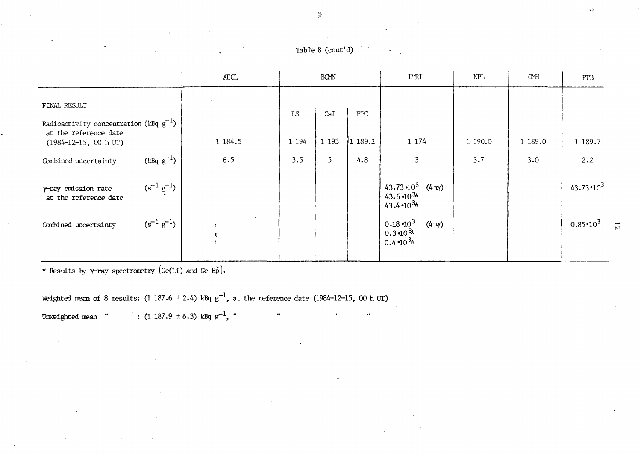|                                                                                                                             |                   | $\mbox{A}\mbox{E}\mbox{C}\mbox{L}$ |               | <b>BOMN</b>    |                             | <b>IMRI</b>                                                                  | NPL     | <b>CMH</b> | PTB                                 |
|-----------------------------------------------------------------------------------------------------------------------------|-------------------|------------------------------------|---------------|----------------|-----------------------------|------------------------------------------------------------------------------|---------|------------|-------------------------------------|
| FINAL RESULT<br>Radioactivity concentration (kBq $g^{-1}$ )<br>at the reference date<br>$(1984 - 12 - 15, 00 h \text{ UT})$ |                   | 1 184.5                            | LS<br>1 1 9 4 | CsI<br>1 1 9 3 | ${\rm PPC}$<br>$ 1\>189.2 $ | 1 1 7 4                                                                      | 1 190.0 | 1 189.0    | 1 189.7                             |
| Combined uncertainty                                                                                                        | $(kBq g^{-1})$    | 6.5                                | 3.5           | 5              | 4.8                         | $\mathbf{3}$                                                                 | 3.7     | 3.0        | 2.2                                 |
| $\gamma$ -ray emission rate<br>at the reference date                                                                        | $(s^{-1} g^{-1})$ |                                    |               |                |                             | 43.73 $-10^3$ (4 $\pi\gamma$ )<br>$43.6 \cdot 10^{3*}$<br>43.4 $-10^{3*}$    |         |            | 43.73 $\cdot 10^3$                  |
| Combined uncertainty                                                                                                        | $(s^{-1} g^{-1})$ | $\mathcal{R}$<br>传                 |               |                |                             | $0.18 \, 10^3$<br>$(4 \pi \gamma)$<br>$0.3 - 10^{3*}$<br>$0.4 \cdot 10^{3*}$ |         |            | $0.85 \cdot 10^3$<br>$\overline{z}$ |

\* Results by  $\gamma$ -ray spectrometry (Ge(Li) and Ge $^{\prime}$ Hp).

Weighted mean of 8 results: (1 187.6  $\pm$  2.4) kBq g<sup>-1</sup>, at the reference date (1984-12-15, 00 h UT)

 $\ddot{\phantom{0}}$ 

Unweighted mean ":  $(1\ 187.9\ \pm\ 6.3)$  kBq  $g^{-1}$ , "

::;.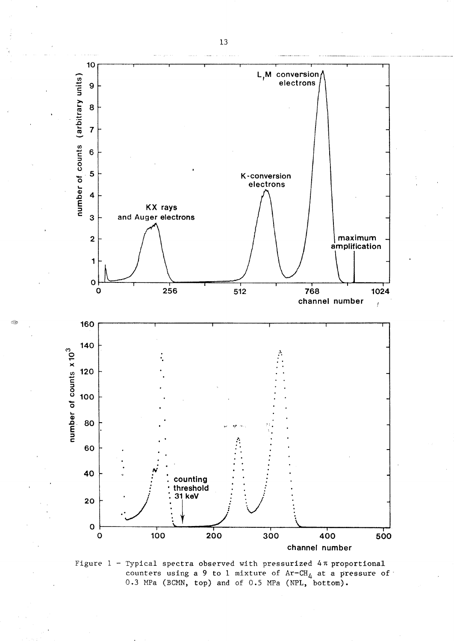



13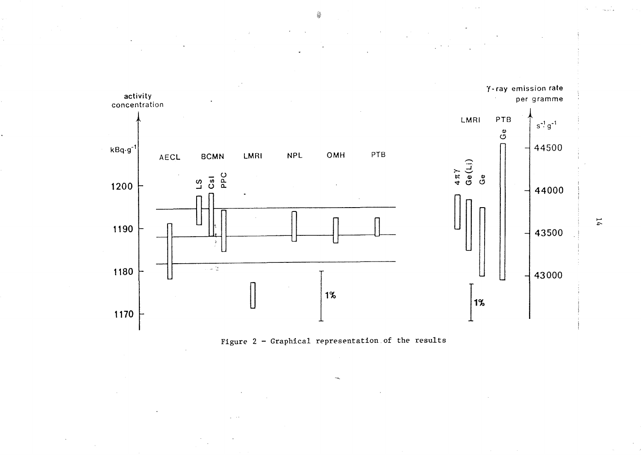



 $\overline{14}$